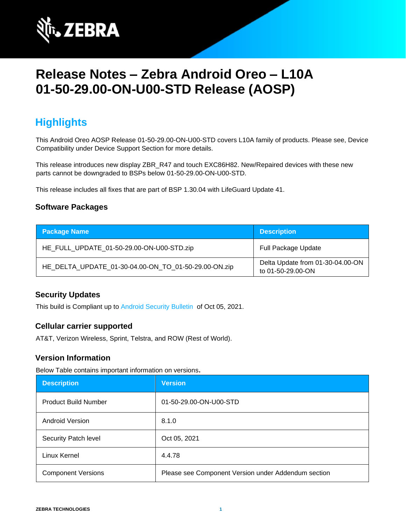

# **Release Notes – Zebra Android Oreo – L10A 01-50-29.00-ON-U00-STD Release (AOSP)**

## **Highlights**

This Android Oreo AOSP Release 01-50-29.00-ON-U00-STD covers L10A family of products. Please see, Device Compatibility under Device Support Section for more details.

This release introduces new display ZBR\_R47 and touch EXC86H82. New/Repaired devices with these new parts cannot be downgraded to BSPs below 01-50-29.00-ON-U00-STD.

This release includes all fixes that are part of BSP 1.30.04 with LifeGuard Update 41.

#### **Software Packages**

| <b>Package Name</b>                                  | <b>Description</b>                                    |
|------------------------------------------------------|-------------------------------------------------------|
| HE_FULL_UPDATE_01-50-29.00-ON-U00-STD.zip            | <b>Full Package Update</b>                            |
| HE_DELTA_UPDATE_01-30-04.00-ON_TO_01-50-29.00-ON.zip | Delta Update from 01-30-04.00-ON<br>to 01-50-29.00-ON |

#### **Security Updates**

This build is Compliant up to [Android Security Bulletin](https://source.android.com/security/bulletin/) of Oct 05, 2021.

#### **Cellular carrier supported**

AT&T, Verizon Wireless, Sprint, Telstra, and ROW (Rest of World).

#### **Version Information**

Below Table contains important information on versions**.**

| <b>Description</b>          | <b>Version</b>                                      |
|-----------------------------|-----------------------------------------------------|
| <b>Product Build Number</b> | 01-50-29.00-ON-U00-STD                              |
| <b>Android Version</b>      | 8.1.0                                               |
| Security Patch level        | Oct 05, 2021                                        |
| Linux Kernel                | 4.4.78                                              |
| <b>Component Versions</b>   | Please see Component Version under Addendum section |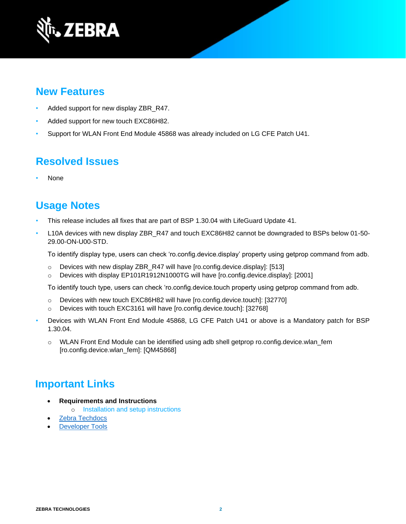

### **New Features**

- Added support for new display ZBR\_R47.
- Added support for new touch EXC86H82.
- Support for WLAN Front End Module 45868 was already included on LG CFE Patch U41.

### **Resolved Issues**

• None

### **Usage Notes**

- This release includes all fixes that are part of BSP 1.30.04 with LifeGuard Update 41.
- L10A devices with new display ZBR\_R47 and touch EXC86H82 cannot be downgraded to BSPs below 01-50-29.00-ON-U00-STD.

To identify display type, users can check 'ro.config.device.display' property using getprop command from adb.

- $\circ$  Devices with new display ZBR\_R47 will have [ro.config.device.display]: [513]
- o Devices with display EP101R1912N1000TG will have [ro.config.device.display]: [2001]

To identify touch type, users can check 'ro.config.device.touch property using getprop command from adb.

- o Devices with new touch EXC86H82 will have [ro.config.device.touch]: [32770]
- o Devices with touch EXC3161 will have [ro.config.device.touch]: [32768]
- Devices with WLAN Front End Module 45868, LG CFE Patch U41 or above is a Mandatory patch for BSP 1.30.04.
	- o WLAN Front End Module can be identified using adb shell getprop ro.config.device.wlan\_fem [ro.config.device.wlan\_fem]: [QM45868]

### **Important Links**

- **Requirements and Instructions** 
	- o [Installation and setup instructions](https://www.zebra.com/content/dam/zebra_new_ia/en-us/software/operating-system/helios/oreo-os-update-instructions.pdf)
- [Zebra Techdocs](https://techdocs.zebra.com/)
- **[Developer Tools](https://developer.zebra.com/)**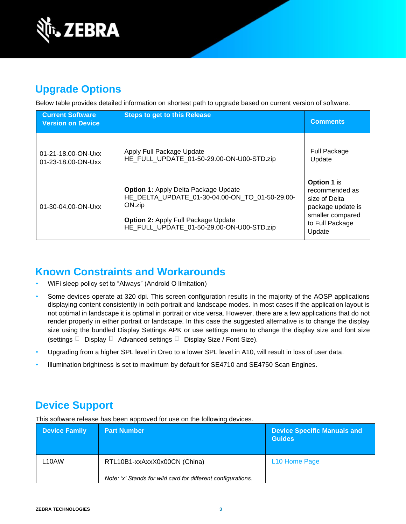

## **Upgrade Options**

Below table provides detailed information on shortest path to upgrade based on current version of software.

| <b>Current Software</b><br><b>Version on Device</b> | <b>Steps to get to this Release</b>                                                                                                                                                                | <b>Comments</b>                                                                                                      |
|-----------------------------------------------------|----------------------------------------------------------------------------------------------------------------------------------------------------------------------------------------------------|----------------------------------------------------------------------------------------------------------------------|
| 01-21-18.00-ON-Uxx<br>01-23-18.00-ON-Uxx            | Apply Full Package Update<br>HE FULL UPDATE 01-50-29.00-ON-U00-STD.zip                                                                                                                             | Full Package<br>Update                                                                                               |
| 01-30-04.00-ON-Uxx                                  | <b>Option 1: Apply Delta Package Update</b><br>HE DELTA UPDATE 01-30-04.00-ON TO 01-50-29.00-<br>ON.zip<br><b>Option 2: Apply Full Package Update</b><br>HE FULL UPDATE 01-50-29.00-ON-U00-STD.zip | Option 1 is<br>recommended as<br>size of Delta<br>package update is<br>smaller compared<br>to Full Package<br>Update |

## **Known Constraints and Workarounds**

- WiFi sleep policy set to "Always" (Android O limitation)
- Some devices operate at 320 dpi. This screen configuration results in the majority of the AOSP applications displaying content consistently in both portrait and landscape modes. In most cases if the application layout is not optimal in landscape it is optimal in portrait or vice versa. However, there are a few applications that do not render properly in either portrait or landscape. In this case the suggested alternative is to change the display size using the bundled Display Settings APK or use settings menu to change the display size and font size (settings  $\Box$  Display  $\Box$  Advanced settings  $\Box$  Display Size / Font Size).
- Upgrading from a higher SPL level in Oreo to a lower SPL level in A10, will result in loss of user data.
- Illumination brightness is set to maximum by default for SE4710 and SE4750 Scan Engines.

## **Device Support**

This software release has been approved for use on the following devices.

| <b>Device Family</b> | <b>Part Number</b>                                           | <b>Device Specific Manuals and</b><br><b>Guides</b> |
|----------------------|--------------------------------------------------------------|-----------------------------------------------------|
| L10AW                | RTL10B1-xxAxxX0x00CN (China)                                 | L <sub>10</sub> Home Page                           |
|                      | Note: 'x' Stands for wild card for different configurations. |                                                     |